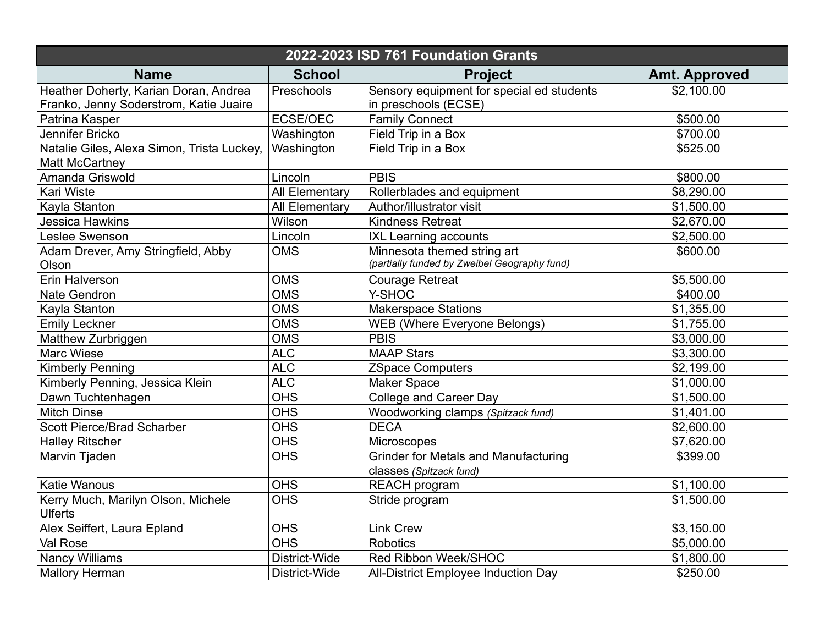| 2022-2023 ISD 761 Foundation Grants                                             |                       |                                                                             |                      |  |  |
|---------------------------------------------------------------------------------|-----------------------|-----------------------------------------------------------------------------|----------------------|--|--|
| <b>Name</b>                                                                     | <b>School</b>         | <b>Project</b>                                                              | <b>Amt. Approved</b> |  |  |
| Heather Doherty, Karian Doran, Andrea<br>Franko, Jenny Soderstrom, Katie Juaire | Preschools            | Sensory equipment for special ed students<br>in preschools (ECSE)           | \$2,100.00           |  |  |
| Patrina Kasper                                                                  | ECSE/OEC              | <b>Family Connect</b>                                                       | \$500.00             |  |  |
| Jennifer Bricko                                                                 | Washington            | Field Trip in a Box                                                         | \$700.00             |  |  |
| Natalie Giles, Alexa Simon, Trista Luckey,<br><b>Matt McCartney</b>             | Washington            | Field Trip in a Box                                                         | \$525.00             |  |  |
| Amanda Griswold                                                                 | Lincoln               | <b>PBIS</b>                                                                 | \$800.00             |  |  |
| <b>Kari Wiste</b>                                                               | <b>All Elementary</b> | Rollerblades and equipment                                                  | \$8,290.00           |  |  |
| Kayla Stanton                                                                   | All Elementary        | Author/illustrator visit                                                    | \$1,500.00           |  |  |
| <b>Jessica Hawkins</b>                                                          | Wilson                | <b>Kindness Retreat</b>                                                     | \$2,670.00           |  |  |
| Leslee Swenson                                                                  | Lincoln               | <b>IXL Learning accounts</b>                                                | \$2,500.00           |  |  |
| Adam Drever, Amy Stringfield, Abby<br>Olson                                     | <b>OMS</b>            | Minnesota themed string art<br>(partially funded by Zweibel Geography fund) | \$600.00             |  |  |
| Erin Halverson                                                                  | <b>OMS</b>            | <b>Courage Retreat</b>                                                      | \$5,500.00           |  |  |
| Nate Gendron                                                                    | <b>OMS</b>            | Y-SHOC                                                                      | \$400.00             |  |  |
| Kayla Stanton                                                                   | <b>OMS</b>            | <b>Makerspace Stations</b>                                                  | \$1,355.00           |  |  |
| <b>Emily Leckner</b>                                                            | <b>OMS</b>            | <b>WEB (Where Everyone Belongs)</b>                                         | \$1,755.00           |  |  |
| Matthew Zurbriggen                                                              | <b>OMS</b>            | <b>PBIS</b>                                                                 | \$3,000.00           |  |  |
| <b>Marc Wiese</b>                                                               | $\overline{ALC}$      | <b>MAAP Stars</b>                                                           | \$3,300.00           |  |  |
| <b>Kimberly Penning</b>                                                         | <b>ALC</b>            | <b>ZSpace Computers</b>                                                     | \$2,199.00           |  |  |
| Kimberly Penning, Jessica Klein                                                 | <b>ALC</b>            | Maker Space                                                                 | \$1,000.00           |  |  |
| Dawn Tuchtenhagen                                                               | <b>OHS</b>            | <b>College and Career Day</b>                                               | \$1,500.00           |  |  |
| <b>Mitch Dinse</b>                                                              | OHS                   | Woodworking clamps (Spitzack fund)                                          | \$1,401.00           |  |  |
| <b>Scott Pierce/Brad Scharber</b>                                               | <b>OHS</b>            | <b>DECA</b>                                                                 | \$2,600.00           |  |  |
| <b>Halley Ritscher</b>                                                          | <b>OHS</b>            | Microscopes                                                                 | \$7,620.00           |  |  |
| Marvin Tjaden                                                                   | <b>OHS</b>            | <b>Grinder for Metals and Manufacturing</b><br>classes (Spitzack fund)      | \$399.00             |  |  |
| <b>Katie Wanous</b>                                                             | <b>OHS</b>            | <b>REACH</b> program                                                        | \$1,100.00           |  |  |
| Kerry Much, Marilyn Olson, Michele<br><b>Ulferts</b>                            | <b>OHS</b>            | Stride program                                                              | \$1,500.00           |  |  |
| Alex Seiffert, Laura Epland                                                     | <b>OHS</b>            | <b>Link Crew</b>                                                            | \$3,150.00           |  |  |
| Val Rose                                                                        | <b>OHS</b>            | <b>Robotics</b>                                                             | \$5,000.00           |  |  |
| <b>Nancy Williams</b>                                                           | District-Wide         | Red Ribbon Week/SHOC                                                        | \$1,800.00           |  |  |
| Mallory Herman                                                                  | District-Wide         | All-District Employee Induction Day                                         | \$250.00             |  |  |